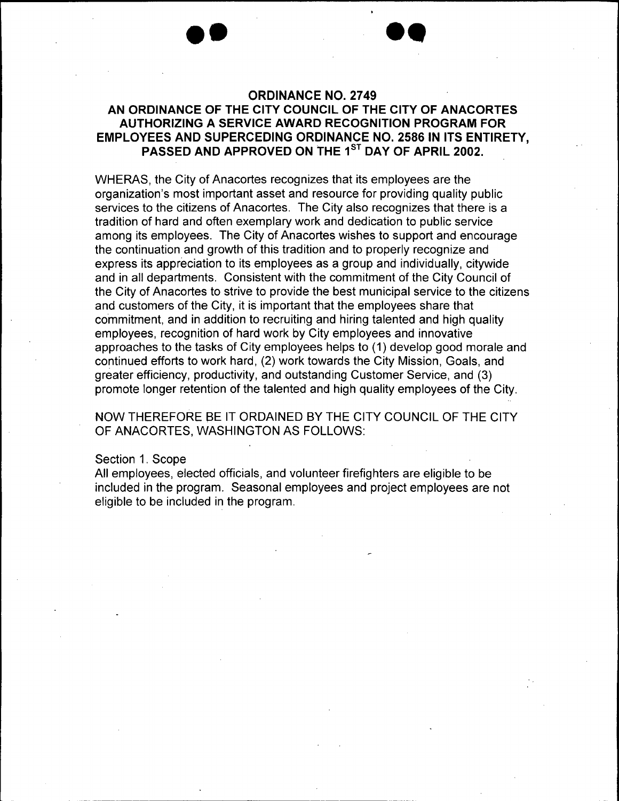### AN ORDINANCE OF THE CITY COUNCIL OF THE CITY OF ANACORTES AUTHORIZING A SERVICE AWARD RECOGNITION PROGRAM FOR EMPLOYEES AND SUPERCEDING ORDINANCE NO. 2586 IN ITS ENTIRETY, PASSED AND APPROVED ON THE 1<sup>ST</sup> DAY OF APRIL 2002.

WHERAS, the City of Anacortes recognizes that its employees are the organization' s most important asset and resource for providing quality public services to the citizens of Anacortes. The City also recognizes that there is a tradition of hard and often exemplary work and dedication to public service among its employees. The City of Anacortes wishes to support and encourage the continuation and growth of this tradition and to properly recognize and express its appreciation to its employees as a group and individually, citywide and in all departments. Consistent with the commitment of the City Council of the City of Anacortes to strive to provide the best municipal service to the citizens and customers of the City, it is important that the employees share that commitment, and in addition to recruiting and hiring talented and high quality employees, recognition of hard work by City employees and innovative approaches to the tasks of City employees helps to ( 1) develop good morale and continued efforts to work hard, (2) work towards the City Mission, Goals, and greater efficiency, productivity, and outstanding Customer Service, and (3) promote longer retention of the talented and high quality employees of the City.

NOW THEREFORE BE IT ORDAINED BY THE CITY COUNCIL OF THE CITY OF ANACORTES, WASHINGTON AS FOLLOWS:

### Section 1. Scope

All employees, elected officials, and volunteer firefighters are eligible to be included in the program. Seasonal employees and project employees are not eligible to be included in the program.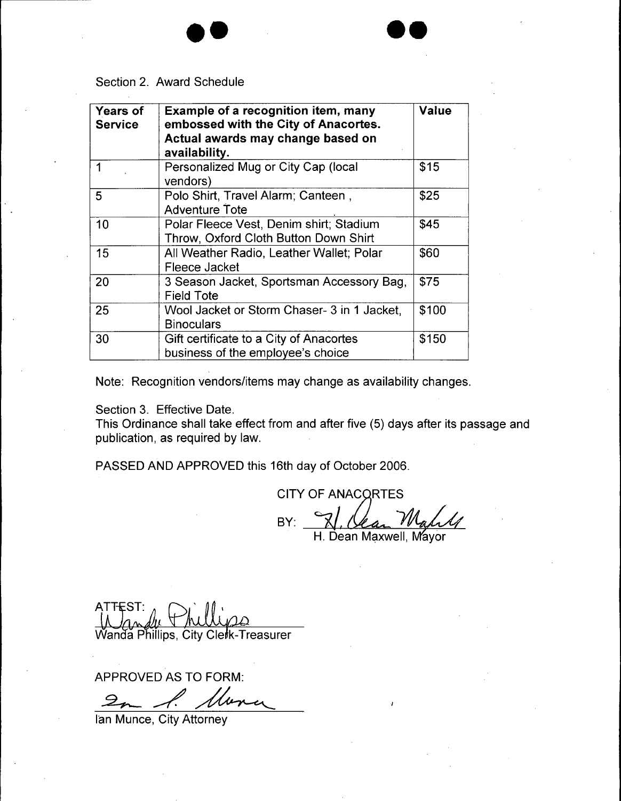

| <b>Years of</b><br><b>Service</b> | Example of a recognition item, many<br>embossed with the City of Anacortes.<br>Actual awards may change based on<br>availability. | <b>Value</b> |  |  |
|-----------------------------------|-----------------------------------------------------------------------------------------------------------------------------------|--------------|--|--|
|                                   | Personalized Mug or City Cap (local<br>\$15<br>vendors)                                                                           |              |  |  |
| 5                                 | \$25<br>Polo Shirt, Travel Alarm; Canteen,<br><b>Adventure Tote</b>                                                               |              |  |  |
| 10                                | \$45<br>Polar Fleece Vest, Denim shirt; Stadium<br>Throw, Oxford Cloth Button Down Shirt                                          |              |  |  |
| 15                                | All Weather Radio, Leather Wallet; Polar<br>\$60<br>Fleece Jacket                                                                 |              |  |  |
| 20                                | \$75<br>3 Season Jacket, Sportsman Accessory Bag,<br><b>Field Tote</b>                                                            |              |  |  |
| 25                                | Wool Jacket or Storm Chaser- 3 in 1 Jacket,<br>\$100<br><b>Binoculars</b>                                                         |              |  |  |
| 30                                | Gift certificate to a City of Anacortes<br>\$150<br>business of the employee's choice                                             |              |  |  |

Note: Recognition vendors/items may change as availability changes.

Section 3. Effective Date.

This Ordinance shall take effect from and after five (5) days after its passage and publication, as required by law.

PASSED AND APPROVED this 16th day of October 2006.

**CITY OF ANACORTES** BY: H. Dean Maxwell, Mayor

ATT<del>E</del>ST: 1 Wanda Phillips, City Clerk-Treasurer

APPROVED AS TO FORM:

2m l. 11

Ian Munce, City Attorney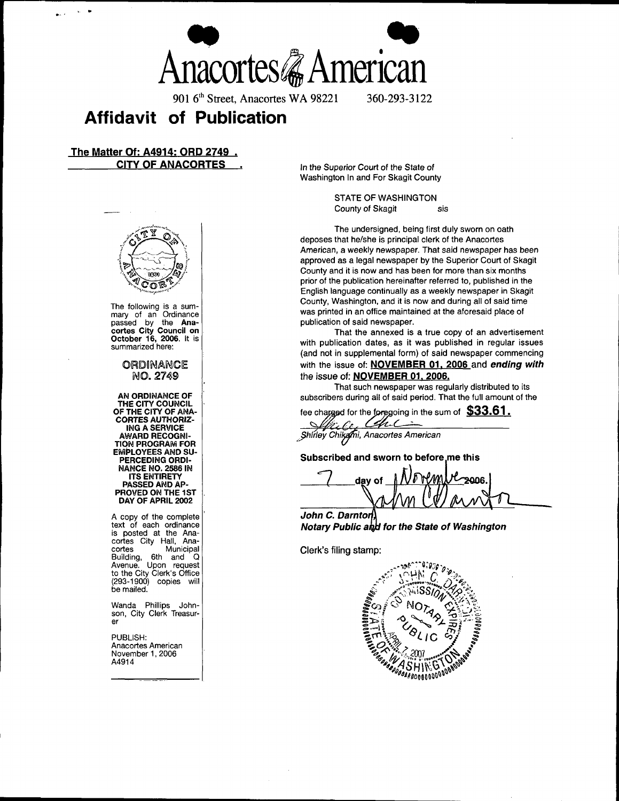Anacortes *&* American

901 6<sup>th</sup> Street, Anacortes WA 98221 360-293-3122

# Affidavit of Publication

### The Matter Of: A4914: ORD 2749 . CITY OF ANACORTES . In the Superior Court of the State of



The following is a sum-

THE CITY COUNCIL<br>OF THE CITY OF ANA-CORTES AUTHORIZ-ING A SERVICE<br>AWARD RECOGNI-**TION PROGRAM FOR** EMPLOYEES AND SU-<br>PERCEDING ORDI-NANCE NO. 2586 IN **ITS ENTIRETY** PASSED AND AP- day and all the contract of the contract of the contract of the contract of the contract of the contract of the contract of the contract of the contract of the contract of the contract of the contract of the PROVED ON THE 1ST DAY OF APRIL 2002

A copy of the complete  $\vert$  **C. Darnton** text of each ordinance<br>is posted at the Anacortes City Hall, Ana-Building, 6th and Q Avenue. the City Clerk' s Building, 6th and Q<br>Avenue. Upon request<br>to the City Clerk's Office 293- 1900) copies will be mailed.

Wanda Phillips Johnson, City Clerk Treasurer er

PUBLISH: Anacortes American November 1, 2006<br>A4914

Washington In and For Skagit County

STATE OF WASHINGTON County of Skagit sis

The undersigned, being first duly sworn on oath deposes that he/she is principal clerk of the Anacortes American, a weekly newspaper. That said newspaper has been approved as a legal newspaper by the Superior Court of Skagit County and it is now and has been for more than six months prior of the publication hereinafter referred to, published in the English language continually as a weekly newspaper in Skagit County, Washington, and it is now and during all of said time was printed in an office maintained at the aforesaid place of publication of said newspaper. passed by the Ana- **publication** of said newspaper.

cortes City Council on That the annexed is a true copy of an advertisement<br>October 16, 2006. It is October 16, 2006. It is  $summar$  with publication dates, as it was published in regular issues summarized here: and not in supplemental form) of said newspaper commencing ORDINANCE With the issue of: NOVEMBER 01, 2006 and ending with NO. 2749 the issue of: NOVEMBER 01, 2006.

That such newspaper was regularly distributed to its AN ORDINANCE OF subscribers during all of said period. That the full amount of the

fee charged for the foregoing in the sum of  $$33.61$ .

Chi Shirley Chikami, Anacortes American

Subscribed and sworn to before me this

8008

Notary Public and for the State of Washington

Clerk's filing stamp:

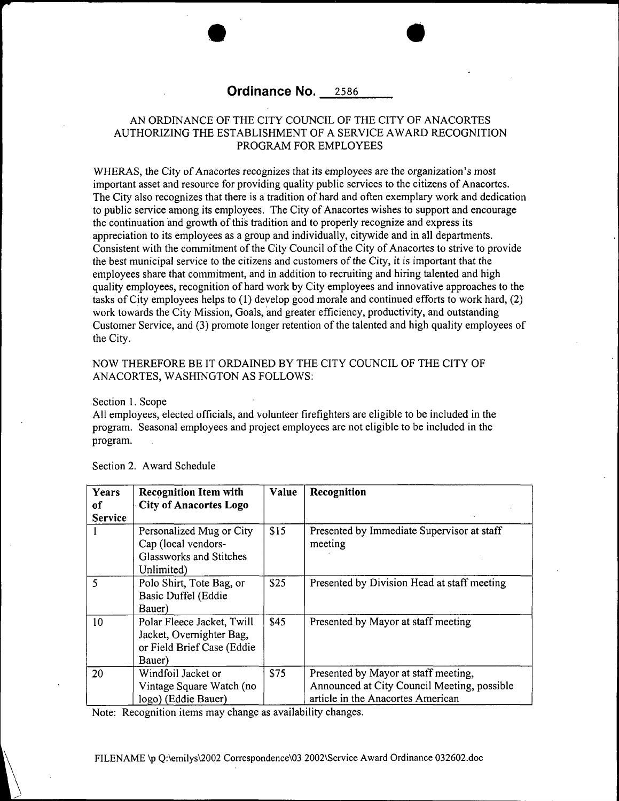### Ordinance No. 2586

### AN ORDINANCE OF THE CITY COUNCIL OF THE CITY OF ANACORTES AUTHORIZING THE ESTABLISHMENT OF A SERVICE AWARD RECOGNITION PROGRAM FOR EMPLOYEES

WHERAS, the City of Anacortes recognizes that its employees are the organization's most important asset and resource for providing quality public services to the citizens of Anacortes. The City also recognizes that there is <sup>a</sup> tradition of hard and often exemplary work and dedication to public service among its employees. The City of Anacortes wishes to support and encourage the continuation and growth of this tradition and to properly recognize and express its appreciation to its employees as a group and individually, citywide and in all departments. Consistent with the commitment of the City Council of the City of Anacortes to strive to provide the best municipal service to the citizens and customers of the City, it is important that the employees share that commitment, and in addition to recruiting and hiring talented and high quality employees, recognition of hard work by City employees and innovative approaches to the tasks of City employees helps to ( 1) develop good morale and continued efforts to work hard, ( 2) work towards the City Mission, Goals, and greater efficiency, productivity, and outstanding Customer Service, and (3) promote longer retention of the talented and high quality employees of the City.

### NOW THEREFORE BE IT ORDAINED BY THE CITY COUNCIL OF THE CITY OF ANACORTES, WASHINGTON AS FOLLOWS:

Section 1. Scope

All employees, elected officials, and volunteer firefighters are eligible to be included in the program. Seasonal employees and project employees are not eligible to be included in the program.

| Years<br>of    | <b>Recognition Item with</b><br><b>City of Anacortes Logo</b>                                  | Value | Recognition                                                                                                              |
|----------------|------------------------------------------------------------------------------------------------|-------|--------------------------------------------------------------------------------------------------------------------------|
| <b>Service</b> |                                                                                                |       |                                                                                                                          |
|                | Personalized Mug or City<br>Cap (local vendors-<br>Glassworks and Stitches<br>Unlimited)       | \$15  | Presented by Immediate Supervisor at staff<br>meeting                                                                    |
| $\varsigma$    | Polo Shirt, Tote Bag, or<br>Basic Duffel (Eddie<br>Bauer)                                      | \$25  | Presented by Division Head at staff meeting                                                                              |
| 10             | Polar Fleece Jacket, Twill<br>Jacket, Overnighter Bag,<br>or Field Brief Case (Eddie<br>Bauer) | \$45  | Presented by Mayor at staff meeting                                                                                      |
| 20             | Windfoil Jacket or<br>Vintage Square Watch (no<br>logo) (Eddie Bauer)                          | \$75  | Presented by Mayor at staff meeting,<br>Announced at City Council Meeting, possible<br>article in the Anacortes American |

Section 2. Award Schedule

Note: Recognition items may change as availability changes.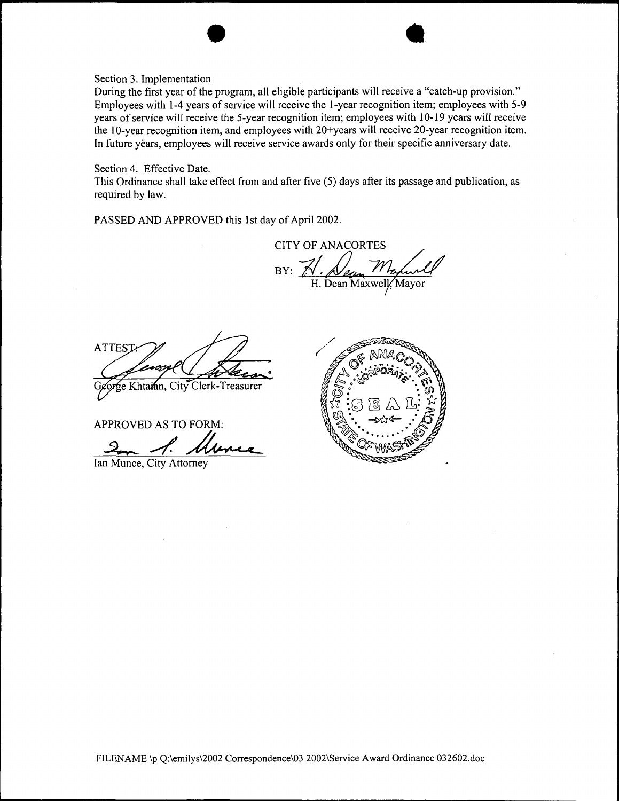Section 3. Implementation

During the first year of the program, all eligible participants will receive a "catch-up provision." Employees with 1-4 years of service will receive the 1-year recognition item; employees with 5-9 years of service will receive the 5-year recognition item; employees with 10-19 years will receive the 10-year recognition item, and employees with 20+years will receive 20-year recognition item. In future years, employees will receive service awards only for their specific anniversary date.

 $\bullet$  a.

Section 4. Effective Date.

This Ordinance shall take effect from and after five( 5) days after its passage and publication, as required by law.

PASSED AND APPROVED this 1st day of April 2002.

CITY OF ANACORTES  $BY: Z$ H. Dean Maxwell, Mayor

ATTES

Khtaian, City Clerk-Treasurer

APPROVED AS TO FORM:

Ian Munce, City Attorney